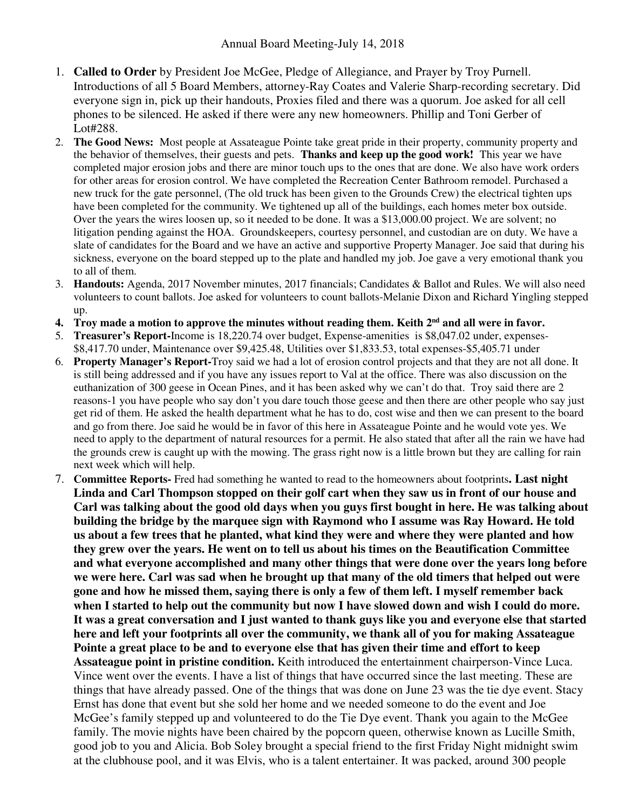- 1. **Called to Order** by President Joe McGee, Pledge of Allegiance, and Prayer by Troy Purnell. Introductions of all 5 Board Members, attorney-Ray Coates and Valerie Sharp-recording secretary. Did everyone sign in, pick up their handouts, Proxies filed and there was a quorum. Joe asked for all cell phones to be silenced. He asked if there were any new homeowners. Phillip and Toni Gerber of Lot#288.
- 2. **The Good News:** Most people at Assateague Pointe take great pride in their property, community property and the behavior of themselves, their guests and pets. **Thanks and keep up the good work!** This year we have completed major erosion jobs and there are minor touch ups to the ones that are done. We also have work orders for other areas for erosion control. We have completed the Recreation Center Bathroom remodel. Purchased a new truck for the gate personnel, (The old truck has been given to the Grounds Crew) the electrical tighten ups have been completed for the community. We tightened up all of the buildings, each homes meter box outside. Over the years the wires loosen up, so it needed to be done. It was a \$13,000.00 project. We are solvent; no litigation pending against the HOA. Groundskeepers, courtesy personnel, and custodian are on duty. We have a slate of candidates for the Board and we have an active and supportive Property Manager. Joe said that during his sickness, everyone on the board stepped up to the plate and handled my job. Joe gave a very emotional thank you to all of them.
- 3. **Handouts:** Agenda, 2017 November minutes, 2017 financials; Candidates & Ballot and Rules. We will also need volunteers to count ballots. Joe asked for volunteers to count ballots-Melanie Dixon and Richard Yingling stepped up.
- **4. Troy made a motion to approve the minutes without reading them. Keith 2nd and all were in favor.**
- 5. **Treasurer's Report-**Income is 18,220.74 over budget, Expense-amenities is \$8,047.02 under, expenses- \$8,417.70 under, Maintenance over \$9,425.48, Utilities over \$1,833.53, total expenses-\$5,405.71 under
- 6. **Property Manager's Report-**Troy said we had a lot of erosion control projects and that they are not all done. It is still being addressed and if you have any issues report to Val at the office. There was also discussion on the euthanization of 300 geese in Ocean Pines, and it has been asked why we can't do that. Troy said there are 2 reasons-1 you have people who say don't you dare touch those geese and then there are other people who say just get rid of them. He asked the health department what he has to do, cost wise and then we can present to the board and go from there. Joe said he would be in favor of this here in Assateague Pointe and he would vote yes. We need to apply to the department of natural resources for a permit. He also stated that after all the rain we have had the grounds crew is caught up with the mowing. The grass right now is a little brown but they are calling for rain next week which will help.
- 7. **Committee Reports-** Fred had something he wanted to read to the homeowners about footprints**. Last night Linda and Carl Thompson stopped on their golf cart when they saw us in front of our house and Carl was talking about the good old days when you guys first bought in here. He was talking about building the bridge by the marquee sign with Raymond who I assume was Ray Howard. He told us about a few trees that he planted, what kind they were and where they were planted and how they grew over the years. He went on to tell us about his times on the Beautification Committee and what everyone accomplished and many other things that were done over the years long before we were here. Carl was sad when he brought up that many of the old timers that helped out were gone and how he missed them, saying there is only a few of them left. I myself remember back when I started to help out the community but now I have slowed down and wish I could do more. It was a great conversation and I just wanted to thank guys like you and everyone else that started here and left your footprints all over the community, we thank all of you for making Assateague Pointe a great place to be and to everyone else that has given their time and effort to keep Assateague point in pristine condition.** Keith introduced the entertainment chairperson-Vince Luca. Vince went over the events. I have a list of things that have occurred since the last meeting. These are things that have already passed. One of the things that was done on June 23 was the tie dye event. Stacy Ernst has done that event but she sold her home and we needed someone to do the event and Joe McGee's family stepped up and volunteered to do the Tie Dye event. Thank you again to the McGee family. The movie nights have been chaired by the popcorn queen, otherwise known as Lucille Smith, good job to you and Alicia. Bob Soley brought a special friend to the first Friday Night midnight swim at the clubhouse pool, and it was Elvis, who is a talent entertainer. It was packed, around 300 people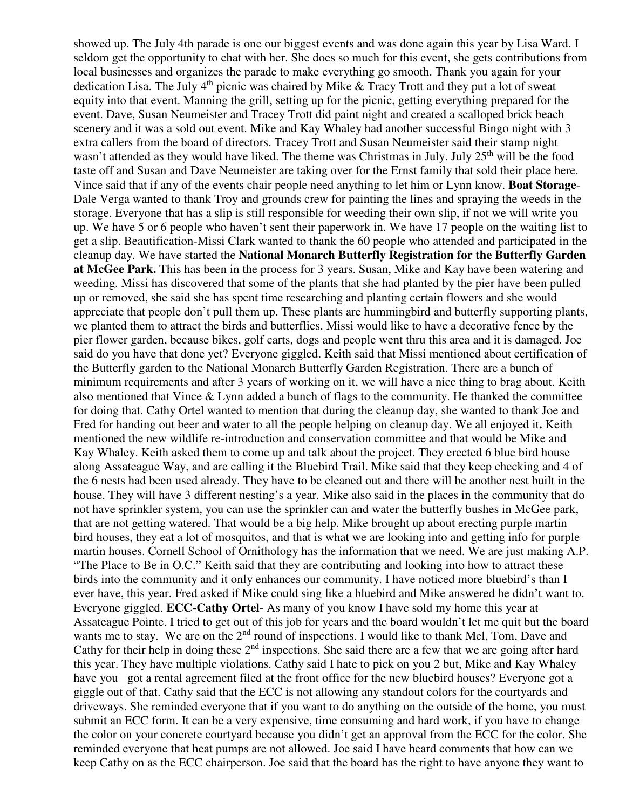showed up. The July 4th parade is one our biggest events and was done again this year by Lisa Ward. I seldom get the opportunity to chat with her. She does so much for this event, she gets contributions from local businesses and organizes the parade to make everything go smooth. Thank you again for your dedication Lisa. The July  $4<sup>th</sup>$  picnic was chaired by Mike & Tracy Trott and they put a lot of sweat equity into that event. Manning the grill, setting up for the picnic, getting everything prepared for the event. Dave, Susan Neumeister and Tracey Trott did paint night and created a scalloped brick beach scenery and it was a sold out event. Mike and Kay Whaley had another successful Bingo night with 3 extra callers from the board of directors. Tracey Trott and Susan Neumeister said their stamp night wasn't attended as they would have liked. The theme was Christmas in July. July 25<sup>th</sup> will be the food taste off and Susan and Dave Neumeister are taking over for the Ernst family that sold their place here. Vince said that if any of the events chair people need anything to let him or Lynn know. **Boat Storage**-Dale Verga wanted to thank Troy and grounds crew for painting the lines and spraying the weeds in the storage. Everyone that has a slip is still responsible for weeding their own slip, if not we will write you up. We have 5 or 6 people who haven't sent their paperwork in. We have 17 people on the waiting list to get a slip. Beautification-Missi Clark wanted to thank the 60 people who attended and participated in the cleanup day. We have started the **National Monarch Butterfly Registration for the Butterfly Garden at McGee Park.** This has been in the process for 3 years. Susan, Mike and Kay have been watering and weeding. Missi has discovered that some of the plants that she had planted by the pier have been pulled up or removed, she said she has spent time researching and planting certain flowers and she would appreciate that people don't pull them up. These plants are hummingbird and butterfly supporting plants, we planted them to attract the birds and butterflies. Missi would like to have a decorative fence by the pier flower garden, because bikes, golf carts, dogs and people went thru this area and it is damaged. Joe said do you have that done yet? Everyone giggled. Keith said that Missi mentioned about certification of the Butterfly garden to the National Monarch Butterfly Garden Registration. There are a bunch of minimum requirements and after 3 years of working on it, we will have a nice thing to brag about. Keith also mentioned that Vince & Lynn added a bunch of flags to the community. He thanked the committee for doing that. Cathy Ortel wanted to mention that during the cleanup day, she wanted to thank Joe and Fred for handing out beer and water to all the people helping on cleanup day. We all enjoyed it**.** Keith mentioned the new wildlife re-introduction and conservation committee and that would be Mike and Kay Whaley. Keith asked them to come up and talk about the project. They erected 6 blue bird house along Assateague Way, and are calling it the Bluebird Trail. Mike said that they keep checking and 4 of the 6 nests had been used already. They have to be cleaned out and there will be another nest built in the house. They will have 3 different nesting's a year. Mike also said in the places in the community that do not have sprinkler system, you can use the sprinkler can and water the butterfly bushes in McGee park, that are not getting watered. That would be a big help. Mike brought up about erecting purple martin bird houses, they eat a lot of mosquitos, and that is what we are looking into and getting info for purple martin houses. Cornell School of Ornithology has the information that we need. We are just making A.P. "The Place to Be in O.C." Keith said that they are contributing and looking into how to attract these birds into the community and it only enhances our community. I have noticed more bluebird's than I ever have, this year. Fred asked if Mike could sing like a bluebird and Mike answered he didn't want to. Everyone giggled. **ECC-Cathy Ortel**- As many of you know I have sold my home this year at Assateague Pointe. I tried to get out of this job for years and the board wouldn't let me quit but the board wants me to stay. We are on the 2<sup>nd</sup> round of inspections. I would like to thank Mel, Tom, Dave and Cathy for their help in doing these  $2<sup>nd</sup>$  inspections. She said there are a few that we are going after hard this year. They have multiple violations. Cathy said I hate to pick on you 2 but, Mike and Kay Whaley have you got a rental agreement filed at the front office for the new bluebird houses? Everyone got a giggle out of that. Cathy said that the ECC is not allowing any standout colors for the courtyards and driveways. She reminded everyone that if you want to do anything on the outside of the home, you must submit an ECC form. It can be a very expensive, time consuming and hard work, if you have to change the color on your concrete courtyard because you didn't get an approval from the ECC for the color. She reminded everyone that heat pumps are not allowed. Joe said I have heard comments that how can we keep Cathy on as the ECC chairperson. Joe said that the board has the right to have anyone they want to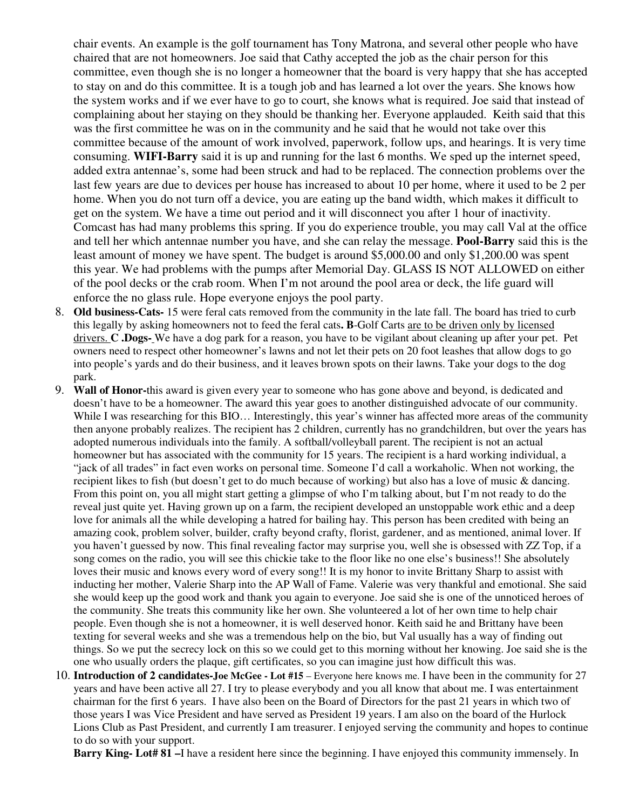chair events. An example is the golf tournament has Tony Matrona, and several other people who have chaired that are not homeowners. Joe said that Cathy accepted the job as the chair person for this committee, even though she is no longer a homeowner that the board is very happy that she has accepted to stay on and do this committee. It is a tough job and has learned a lot over the years. She knows how the system works and if we ever have to go to court, she knows what is required. Joe said that instead of complaining about her staying on they should be thanking her. Everyone applauded. Keith said that this was the first committee he was on in the community and he said that he would not take over this committee because of the amount of work involved, paperwork, follow ups, and hearings. It is very time consuming. **WIFI-Barry** said it is up and running for the last 6 months. We sped up the internet speed, added extra antennae's, some had been struck and had to be replaced. The connection problems over the last few years are due to devices per house has increased to about 10 per home, where it used to be 2 per home. When you do not turn off a device, you are eating up the band width, which makes it difficult to get on the system. We have a time out period and it will disconnect you after 1 hour of inactivity. Comcast has had many problems this spring. If you do experience trouble, you may call Val at the office and tell her which antennae number you have, and she can relay the message. **Pool-Barry** said this is the least amount of money we have spent. The budget is around \$5,000.00 and only \$1,200.00 was spent this year. We had problems with the pumps after Memorial Day. GLASS IS NOT ALLOWED on either of the pool decks or the crab room. When I'm not around the pool area or deck, the life guard will enforce the no glass rule. Hope everyone enjoys the pool party.

- 8. **Old business-Cats-** 15 were feral cats removed from the community in the late fall. The board has tried to curb this legally by asking homeowners not to feed the feral cats**. B**-Golf Carts are to be driven only by licensed drivers. **C .Dogs-** We have a dog park for a reason, you have to be vigilant about cleaning up after your pet. Pet owners need to respect other homeowner's lawns and not let their pets on 20 foot leashes that allow dogs to go into people's yards and do their business, and it leaves brown spots on their lawns. Take your dogs to the dog park.
- 9. **Wall of Honor-**this award is given every year to someone who has gone above and beyond, is dedicated and doesn't have to be a homeowner. The award this year goes to another distinguished advocate of our community. While I was researching for this BIO... Interestingly, this year's winner has affected more areas of the community then anyone probably realizes. The recipient has 2 children, currently has no grandchildren, but over the years has adopted numerous individuals into the family. A softball/volleyball parent. The recipient is not an actual homeowner but has associated with the community for 15 years. The recipient is a hard working individual, a "jack of all trades" in fact even works on personal time. Someone I'd call a workaholic. When not working, the recipient likes to fish (but doesn't get to do much because of working) but also has a love of music & dancing. From this point on, you all might start getting a glimpse of who I'm talking about, but I'm not ready to do the reveal just quite yet. Having grown up on a farm, the recipient developed an unstoppable work ethic and a deep love for animals all the while developing a hatred for bailing hay. This person has been credited with being an amazing cook, problem solver, builder, crafty beyond crafty, florist, gardener, and as mentioned, animal lover. If you haven't guessed by now. This final revealing factor may surprise you, well she is obsessed with ZZ Top, if a song comes on the radio, you will see this chickie take to the floor like no one else's business!! She absolutely loves their music and knows every word of every song!! It is my honor to invite Brittany Sharp to assist with inducting her mother, Valerie Sharp into the AP Wall of Fame. Valerie was very thankful and emotional. She said she would keep up the good work and thank you again to everyone. Joe said she is one of the unnoticed heroes of the community. She treats this community like her own. She volunteered a lot of her own time to help chair people. Even though she is not a homeowner, it is well deserved honor. Keith said he and Brittany have been texting for several weeks and she was a tremendous help on the bio, but Val usually has a way of finding out things. So we put the secrecy lock on this so we could get to this morning without her knowing. Joe said she is the one who usually orders the plaque, gift certificates, so you can imagine just how difficult this was.
- 10. **Introduction of 2 candidates-Joe McGee Lot #15** Everyone here knows me. I have been in the community for 27 years and have been active all 27. I try to please everybody and you all know that about me. I was entertainment chairman for the first 6 years. I have also been on the Board of Directors for the past 21 years in which two of those years I was Vice President and have served as President 19 years. I am also on the board of the Hurlock Lions Club as Past President, and currently I am treasurer. I enjoyed serving the community and hopes to continue to do so with your support.

**Barry King- Lot# 81** –I have a resident here since the beginning. I have enjoyed this community immensely. In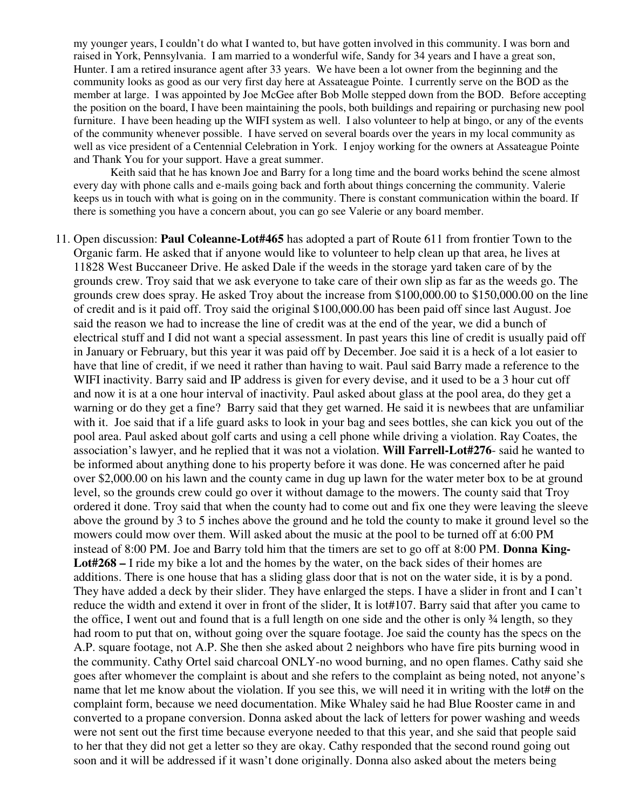my younger years, I couldn't do what I wanted to, but have gotten involved in this community. I was born and raised in York, Pennsylvania. I am married to a wonderful wife, Sandy for 34 years and I have a great son, Hunter. I am a retired insurance agent after 33 years. We have been a lot owner from the beginning and the community looks as good as our very first day here at Assateague Pointe. I currently serve on the BOD as the member at large. I was appointed by Joe McGee after Bob Molle stepped down from the BOD. Before accepting the position on the board, I have been maintaining the pools, both buildings and repairing or purchasing new pool furniture. I have been heading up the WIFI system as well. I also volunteer to help at bingo, or any of the events of the community whenever possible. I have served on several boards over the years in my local community as well as vice president of a Centennial Celebration in York. I enjoy working for the owners at Assateague Pointe and Thank You for your support. Have a great summer.

 Keith said that he has known Joe and Barry for a long time and the board works behind the scene almost every day with phone calls and e-mails going back and forth about things concerning the community. Valerie keeps us in touch with what is going on in the community. There is constant communication within the board. If there is something you have a concern about, you can go see Valerie or any board member.

11. Open discussion: **Paul Coleanne-Lot#465** has adopted a part of Route 611 from frontier Town to the Organic farm. He asked that if anyone would like to volunteer to help clean up that area, he lives at 11828 West Buccaneer Drive. He asked Dale if the weeds in the storage yard taken care of by the grounds crew. Troy said that we ask everyone to take care of their own slip as far as the weeds go. The grounds crew does spray. He asked Troy about the increase from \$100,000.00 to \$150,000.00 on the line of credit and is it paid off. Troy said the original \$100,000.00 has been paid off since last August. Joe said the reason we had to increase the line of credit was at the end of the year, we did a bunch of electrical stuff and I did not want a special assessment. In past years this line of credit is usually paid off in January or February, but this year it was paid off by December. Joe said it is a heck of a lot easier to have that line of credit, if we need it rather than having to wait. Paul said Barry made a reference to the WIFI inactivity. Barry said and IP address is given for every devise, and it used to be a 3 hour cut off and now it is at a one hour interval of inactivity. Paul asked about glass at the pool area, do they get a warning or do they get a fine? Barry said that they get warned. He said it is newbees that are unfamiliar with it. Joe said that if a life guard asks to look in your bag and sees bottles, she can kick you out of the pool area. Paul asked about golf carts and using a cell phone while driving a violation. Ray Coates, the association's lawyer, and he replied that it was not a violation. **Will Farrell-Lot#276**- said he wanted to be informed about anything done to his property before it was done. He was concerned after he paid over \$2,000.00 on his lawn and the county came in dug up lawn for the water meter box to be at ground level, so the grounds crew could go over it without damage to the mowers. The county said that Troy ordered it done. Troy said that when the county had to come out and fix one they were leaving the sleeve above the ground by 3 to 5 inches above the ground and he told the county to make it ground level so the mowers could mow over them. Will asked about the music at the pool to be turned off at 6:00 PM instead of 8:00 PM. Joe and Barry told him that the timers are set to go off at 8:00 PM. **Donna King-Lot#268 –** I ride my bike a lot and the homes by the water, on the back sides of their homes are additions. There is one house that has a sliding glass door that is not on the water side, it is by a pond. They have added a deck by their slider. They have enlarged the steps. I have a slider in front and I can't reduce the width and extend it over in front of the slider, It is lot#107. Barry said that after you came to the office, I went out and found that is a full length on one side and the other is only  $\frac{3}{4}$  length, so they had room to put that on, without going over the square footage. Joe said the county has the specs on the A.P. square footage, not A.P. She then she asked about 2 neighbors who have fire pits burning wood in the community. Cathy Ortel said charcoal ONLY-no wood burning, and no open flames. Cathy said she goes after whomever the complaint is about and she refers to the complaint as being noted, not anyone's name that let me know about the violation. If you see this, we will need it in writing with the lot# on the complaint form, because we need documentation. Mike Whaley said he had Blue Rooster came in and converted to a propane conversion. Donna asked about the lack of letters for power washing and weeds were not sent out the first time because everyone needed to that this year, and she said that people said to her that they did not get a letter so they are okay. Cathy responded that the second round going out soon and it will be addressed if it wasn't done originally. Donna also asked about the meters being